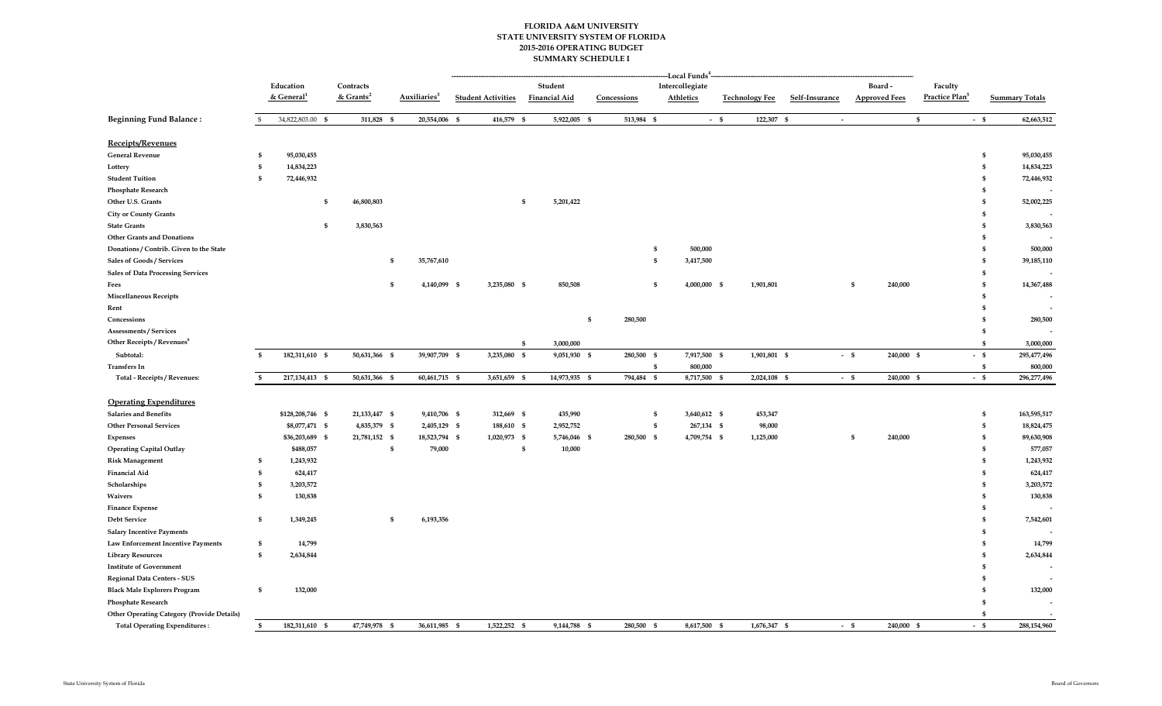## **FLORIDA A&M UNIVERSITY 2015-2016 OPERATING BUDGET SUMMARY SCHEDULE I STATE UNIVERSITY SYSTEM OF FLORIDA**

|                                                   |              |                          |                       |                               | -Local Funds <sup>4.</sup> |      |                      |                    |                                             |                  |                       |            |                       |                      |              |                            |              |                       |
|---------------------------------------------------|--------------|--------------------------|-----------------------|-------------------------------|----------------------------|------|----------------------|--------------------|---------------------------------------------|------------------|-----------------------|------------|-----------------------|----------------------|--------------|----------------------------|--------------|-----------------------|
|                                                   |              | Education                | Contracts             |                               |                            |      | Student              |                    | $\label{prop:rel} \textbf{Intercollective}$ |                  |                       |            |                       | Board-               |              | Faculty                    |              |                       |
|                                                   |              | $&$ General <sup>1</sup> | & Grants <sup>2</sup> | Auxiliaries <sup>3</sup>      | <b>Student Activities</b>  |      | <b>Financial Aid</b> | Concessions        |                                             | <b>Athletics</b> | <b>Technology Fee</b> |            | Self-Insurance        | <b>Approved Fees</b> |              | Practice Plan <sup>5</sup> |              | <b>Summary Totals</b> |
| <b>Beginning Fund Balance:</b>                    |              | 34,822,803.00 \$         | 311,828               | 20,554,006 \$<br>$\mathbf{s}$ | 416,579                    | - \$ | 5,922,005 \$         | 513,984 \$         |                                             | $-$ \$           |                       | 122,307 \$ | $\tilde{\phantom{a}}$ |                      | $\mathbf{s}$ | $-$ \$                     |              | 62,663,512            |
| Receipts/Revenues                                 |              |                          |                       |                               |                            |      |                      |                    |                                             |                  |                       |            |                       |                      |              |                            |              |                       |
| <b>General Revenue</b>                            | S            | 95,030,455               |                       |                               |                            |      |                      |                    |                                             |                  |                       |            |                       |                      |              |                            | \$           | 95,030,455            |
| Lottery                                           |              | 14,834,223               |                       |                               |                            |      |                      |                    |                                             |                  |                       |            |                       |                      |              |                            | \$           | 14,834,223            |
| <b>Student Tuition</b>                            | -S           | 72,446,932               |                       |                               |                            |      |                      |                    |                                             |                  |                       |            |                       |                      |              |                            | \$           | 72,446,932            |
| <b>Phosphate Research</b>                         |              |                          |                       |                               |                            |      |                      |                    |                                             |                  |                       |            |                       |                      |              |                            | \$           |                       |
| Other U.S. Grants                                 |              |                          | 46,800,803<br>\$      |                               |                            | \$   | 5,201,422            |                    |                                             |                  |                       |            |                       |                      |              |                            | \$           | 52,002,225            |
| <b>City or County Grants</b>                      |              |                          |                       |                               |                            |      |                      |                    |                                             |                  |                       |            |                       |                      |              |                            | \$           |                       |
| <b>State Grants</b>                               |              | \$                       | 3,830,563             |                               |                            |      |                      |                    |                                             |                  |                       |            |                       |                      |              |                            | \$           | 3,830,563             |
| <b>Other Grants and Donations</b>                 |              |                          |                       |                               |                            |      |                      |                    |                                             |                  |                       |            |                       |                      |              |                            |              |                       |
| Donations / Contrib. Given to the State           |              |                          |                       |                               |                            |      |                      |                    | \$                                          | 500,000          |                       |            |                       |                      |              |                            | \$           | 500,000               |
| <b>Sales of Goods / Services</b>                  |              |                          |                       | 35,767,610<br>\$              |                            |      |                      |                    | \$                                          | 3,417,500        |                       |            |                       |                      |              |                            | \$           | 39,185,110            |
| <b>Sales of Data Processing Services</b>          |              |                          |                       |                               |                            |      |                      |                    |                                             |                  |                       |            |                       |                      |              |                            | \$           |                       |
| Fees                                              |              |                          |                       | 4,140,099 \$<br>\$            | 3,235,080 \$               |      | 850,508              |                    | \$                                          | 4,000,000 \$     | 1,901,801             |            |                       | 240,000<br>- \$      |              |                            | £.           | 14,367,488            |
| <b>Miscellaneous Receipts</b>                     |              |                          |                       |                               |                            |      |                      |                    |                                             |                  |                       |            |                       |                      |              |                            | \$           |                       |
| Rent                                              |              |                          |                       |                               |                            |      |                      |                    |                                             |                  |                       |            |                       |                      |              |                            | \$           |                       |
| Concessions                                       |              |                          |                       |                               |                            |      |                      | 280,500<br>\$      |                                             |                  |                       |            |                       |                      |              |                            | \$           | 280,500               |
| Assessments / Services                            |              |                          |                       |                               |                            |      |                      |                    |                                             |                  |                       |            |                       |                      |              |                            | $\mathbf{s}$ |                       |
| Other Receipts / Revenues <sup>6</sup>            |              |                          |                       |                               |                            | \$   | 3,000,000            |                    |                                             |                  |                       |            |                       |                      |              |                            | \$           | 3,000,000             |
| Subtotal:                                         | $\mathbf{s}$ | 182,311,610 \$           | 50,631,366 \$         | 39,907,709 \$                 | 3,235,080 \$               |      | 9,051,930 \$         | 280,500 \$         |                                             | 7,917,500 \$     | 1,901,801 \$          |            | $-$ \$                |                      | 240,000 \$   | $-$ \$                     |              | 295,477,496           |
| <b>Transfers In</b>                               |              |                          |                       |                               |                            |      |                      |                    | <b>S</b>                                    | 800,000          |                       |            |                       |                      |              |                            | \$           | 800,000               |
| Total - Receipts / Revenues:                      | - \$         | 217, 134, 413 \$         | 50,631,366 \$         | 60,461,715 \$                 | 3,651,659 \$               |      | 14,973,935 \$        | 794,484 \$         |                                             | 8,717,500 \$     | 2,024,108 \$          |            | $-$ \$                |                      | 240,000 \$   | $-$ \$                     |              | 296,277,496           |
|                                                   |              |                          |                       |                               |                            |      |                      |                    |                                             |                  |                       |            |                       |                      |              |                            |              |                       |
| <b>Operating Expenditures</b>                     |              |                          |                       |                               |                            |      |                      |                    |                                             |                  |                       |            |                       |                      |              |                            |              |                       |
| <b>Salaries and Benefits</b>                      |              | \$128,208,746 \$         | 21,133,447 \$         | 9,410,706 \$                  | 312,669 \$                 |      | 435,990              |                    | \$                                          | 3,640,612 \$     | 453,347               |            |                       |                      |              |                            | \$           | 163,595,517           |
| <b>Other Personal Services</b>                    |              | \$8,077,471 \$           | 4,835,379 \$          | 2,405,129 \$                  | 188,610 \$                 |      | 2,952,752            |                    | \$                                          | 267,134 \$       | 98,000                |            |                       |                      |              |                            | \$           | 18,824,475            |
| <b>Expenses</b>                                   |              | \$36,203,689 \$          | 21,781,152 \$         | 18,523,794 \$                 | 1,020,973 \$               |      | 5,746,046 \$         | 280,500 \$         |                                             | 4,709,754 \$     | 1,125,000             |            |                       | 240,000<br>-S        |              |                            | \$           | 89,630,908            |
| <b>Operating Capital Outlay</b>                   |              | \$488,057                |                       | \$<br>79,000                  |                            | \$   | 10,000               |                    |                                             |                  |                       |            |                       |                      |              |                            | \$           | 577,057               |
| <b>Risk Management</b>                            | \$           | 1,243,932                |                       |                               |                            |      |                      |                    |                                             |                  |                       |            |                       |                      |              |                            | \$           | 1,243,932             |
| <b>Financial Aid</b>                              | <b>S</b>     | 624,417                  |                       |                               |                            |      |                      |                    |                                             |                  |                       |            |                       |                      |              |                            | \$           | 624,417               |
| Scholarships                                      | \$           | 3,203,572                |                       |                               |                            |      |                      |                    |                                             |                  |                       |            |                       |                      |              |                            | \$           | 3,203,572             |
| Waivers                                           | \$           | 130,838                  |                       |                               |                            |      |                      |                    |                                             |                  |                       |            |                       |                      |              |                            | \$           | 130,838               |
| <b>Finance Expense</b>                            |              |                          |                       |                               |                            |      |                      |                    |                                             |                  |                       |            |                       |                      |              |                            | \$           |                       |
| <b>Debt Service</b>                               | \$           | 1,349,245                |                       | $\mathbf{s}$<br>6,193,356     |                            |      |                      |                    |                                             |                  |                       |            |                       |                      |              |                            | \$           | 7,542,601             |
| <b>Salary Incentive Payments</b>                  |              |                          |                       |                               |                            |      |                      |                    |                                             |                  |                       |            |                       |                      |              |                            | \$           |                       |
| Law Enforcement Incentive Payments                | \$           | 14,799                   |                       |                               |                            |      |                      |                    |                                             |                  |                       |            |                       |                      |              |                            | \$           | 14,799                |
| <b>Library Resources</b>                          | \$           | 2,634,844                |                       |                               |                            |      |                      |                    |                                             |                  |                       |            |                       |                      |              |                            | \$           | 2,634,844             |
| <b>Institute of Government</b>                    |              |                          |                       |                               |                            |      |                      |                    |                                             |                  |                       |            |                       |                      |              |                            |              |                       |
| Regional Data Centers - SUS                       |              |                          |                       |                               |                            |      |                      |                    |                                             |                  |                       |            |                       |                      |              |                            |              |                       |
| <b>Black Male Explorers Program</b>               | \$           | 132,000                  |                       |                               |                            |      |                      |                    |                                             |                  |                       |            |                       |                      |              |                            | £.           | 132,000               |
| <b>Phosphate Research</b>                         |              |                          |                       |                               |                            |      |                      |                    |                                             |                  |                       |            |                       |                      |              |                            | \$           |                       |
| <b>Other Operating Category (Provide Details)</b> |              |                          |                       |                               |                            |      |                      |                    |                                             |                  |                       |            |                       |                      |              |                            | \$           |                       |
| <b>Total Operating Expenditures:</b>              | $\mathbf{s}$ | 182,311,610 \$           | 47,749,978            | 36,611,985 \$<br>- \$         | 1,522,252 \$               |      | 9,144,788            | 280,500 \$<br>- \$ |                                             | 8,617,500 \$     | 1,676,347 \$          |            | $-$ \$                |                      | 240,000 \$   | $-$ \$                     |              | 288,154,960           |